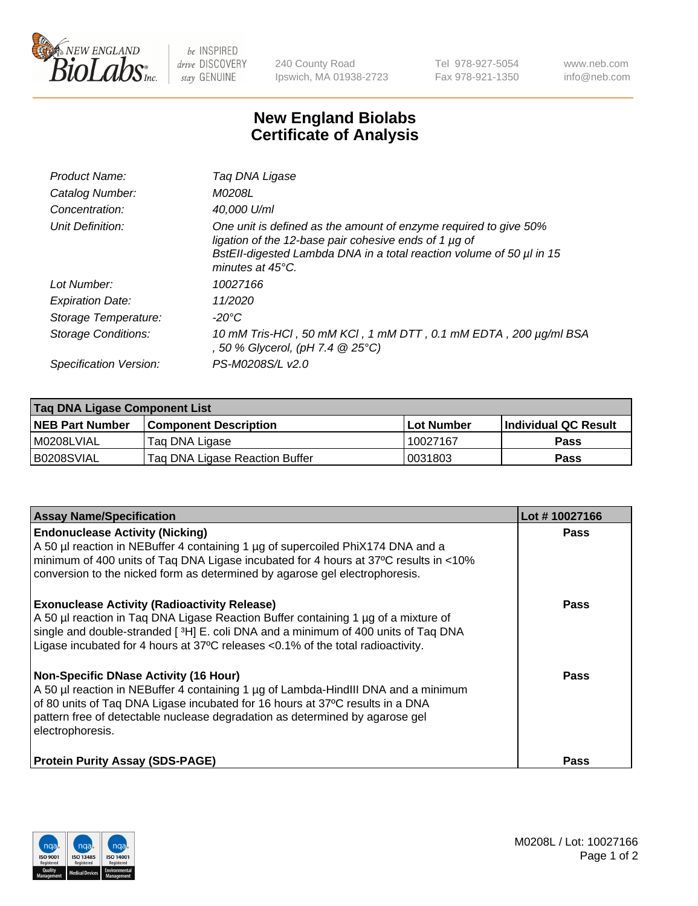

 $be$  INSPIRED drive DISCOVERY stay GENUINE

240 County Road Ipswich, MA 01938-2723 Tel 978-927-5054 Fax 978-921-1350 www.neb.com info@neb.com

## **New England Biolabs Certificate of Analysis**

| Product Name:           | Tag DNA Ligase                                                                                                                                                                                                                  |
|-------------------------|---------------------------------------------------------------------------------------------------------------------------------------------------------------------------------------------------------------------------------|
| Catalog Number:         | M0208L                                                                                                                                                                                                                          |
| Concentration:          | 40,000 U/ml                                                                                                                                                                                                                     |
| Unit Definition:        | One unit is defined as the amount of enzyme required to give 50%<br>ligation of the 12-base pair cohesive ends of 1 µg of<br>BstEll-digested Lambda DNA in a total reaction volume of 50 µl in 15<br>minutes at $45^{\circ}$ C. |
| Lot Number:             | 10027166                                                                                                                                                                                                                        |
| <b>Expiration Date:</b> | 11/2020                                                                                                                                                                                                                         |
| Storage Temperature:    | -20°C                                                                                                                                                                                                                           |
| Storage Conditions:     | 10 mM Tris-HCl, 50 mM KCl, 1 mM DTT, 0.1 mM EDTA, 200 µg/ml BSA<br>, 50 % Glycerol, (pH 7.4 $@25°C$ )                                                                                                                           |
| Specification Version:  | PS-M0208S/L v2.0                                                                                                                                                                                                                |

| Taq DNA Ligase Component List |                                |            |                      |  |
|-------------------------------|--------------------------------|------------|----------------------|--|
| <b>NEB Part Number</b>        | <b>Component Description</b>   | Lot Number | Individual QC Result |  |
| M0208LVIAL                    | Tag DNA Ligase                 | 10027167   | <b>Pass</b>          |  |
| B0208SVIAL                    | Taq DNA Ligase Reaction Buffer | 0031803    | Pass                 |  |

| <b>Assay Name/Specification</b>                                                                                                                                                                                                                                                                                         | Lot #10027166 |
|-------------------------------------------------------------------------------------------------------------------------------------------------------------------------------------------------------------------------------------------------------------------------------------------------------------------------|---------------|
| <b>Endonuclease Activity (Nicking)</b><br>A 50 µl reaction in NEBuffer 4 containing 1 µg of supercoiled PhiX174 DNA and a<br>minimum of 400 units of Taq DNA Ligase incubated for 4 hours at 37°C results in <10%<br>conversion to the nicked form as determined by agarose gel electrophoresis.                        | <b>Pass</b>   |
| <b>Exonuclease Activity (Radioactivity Release)</b><br>A 50 µl reaction in Taq DNA Ligase Reaction Buffer containing 1 µg of a mixture of<br>single and double-stranded [3H] E. coli DNA and a minimum of 400 units of Taq DNA<br>Ligase incubated for 4 hours at 37°C releases <0.1% of the total radioactivity.       | <b>Pass</b>   |
| <b>Non-Specific DNase Activity (16 Hour)</b><br>A 50 µl reaction in NEBuffer 4 containing 1 µg of Lambda-HindIII DNA and a minimum<br>of 80 units of Taq DNA Ligase incubated for 16 hours at 37°C results in a DNA<br>pattern free of detectable nuclease degradation as determined by agarose gel<br>electrophoresis. | <b>Pass</b>   |
| <b>Protein Purity Assay (SDS-PAGE)</b>                                                                                                                                                                                                                                                                                  | <b>Pass</b>   |